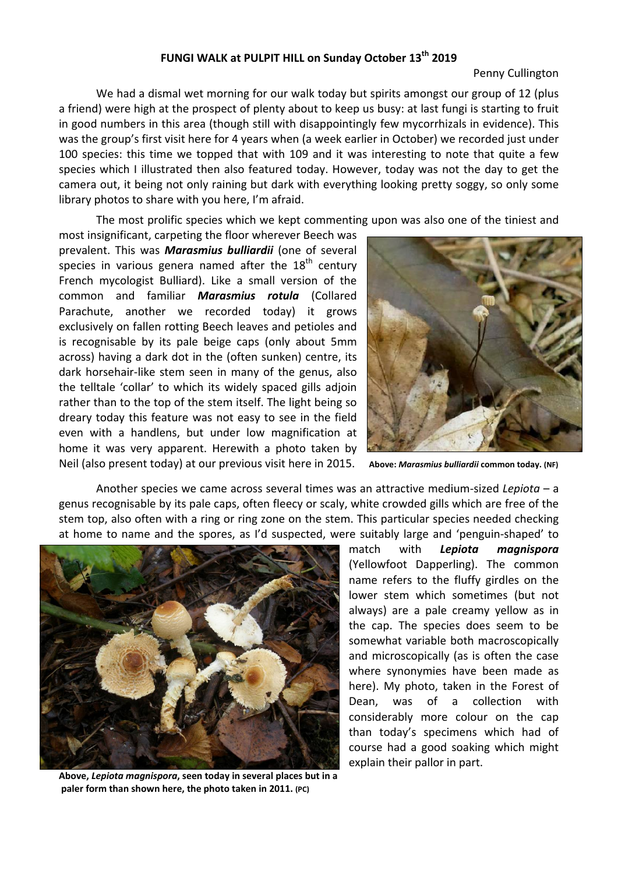## **FUNGI WALK at PULPIT HILL on Sunday October 13th 2019**

## Penny Cullington

We had a dismal wet morning for our walk today but spirits amongst our group of 12 (plus a friend) were high at the prospect of plenty about to keep us busy: at last fungi is starting to fruit in good numbers in this area (though still with disappointingly few mycorrhizals in evidence). This was the group's first visit here for 4 years when (a week earlier in October) we recorded just under 100 species: this time we topped that with 109 and it was interesting to note that quite a few species which I illustrated then also featured today. However, today was not the day to get the camera out, it being not only raining but dark with everything looking pretty soggy, so only some library photos to share with you here, I'm afraid.

The most prolific species which we kept commenting upon was also one of the tiniest and

most insignificant, carpeting the floor wherever Beech was prevalent. This was *Marasmius bulliardii* (one of several species in various genera named after the  $18<sup>th</sup>$  century French mycologist Bulliard). Like a small version of the common and familiar *Marasmius rotula* (Collared Parachute, another we recorded today) it grows exclusively on fallen rotting Beech leaves and petioles and is recognisable by its pale beige caps (only about 5mm across) having a dark dot in the (often sunken) centre, its dark horsehair‐like stem seen in many of the genus, also the telltale 'collar' to which its widely spaced gills adjoin rather than to the top of the stem itself. The light being so dreary today this feature was not easy to see in the field even with a handlens, but under low magnification at home it was very apparent. Herewith a photo taken by Neil (also present today) at our previous visit here in 2015. **Above:** *Marasmius bulliardii* **common today. (NF)**



Another species we came across several times was an attractive medium‐sized *Lepiota* – a genus recognisable by its pale caps, often fleecy or scaly, white crowded gills which are free of the stem top, also often with a ring or ring zone on the stem. This particular species needed checking at home to name and the spores, as I'd suspected, were suitably large and 'penguin‐shaped' to



**Above,** *Lepiota magnispora***, seen today in several places but in a paler form than shown here, the photo taken in 2011. (PC)** 

match with *Lepiota magnispora* (Yellowfoot Dapperling). The common name refers to the fluffy girdles on the lower stem which sometimes (but not always) are a pale creamy yellow as in the cap. The species does seem to be somewhat variable both macroscopically and microscopically (as is often the case where synonymies have been made as here). My photo, taken in the Forest of Dean, was of a collection with considerably more colour on the cap than today's specimens which had of course had a good soaking which might explain their pallor in part.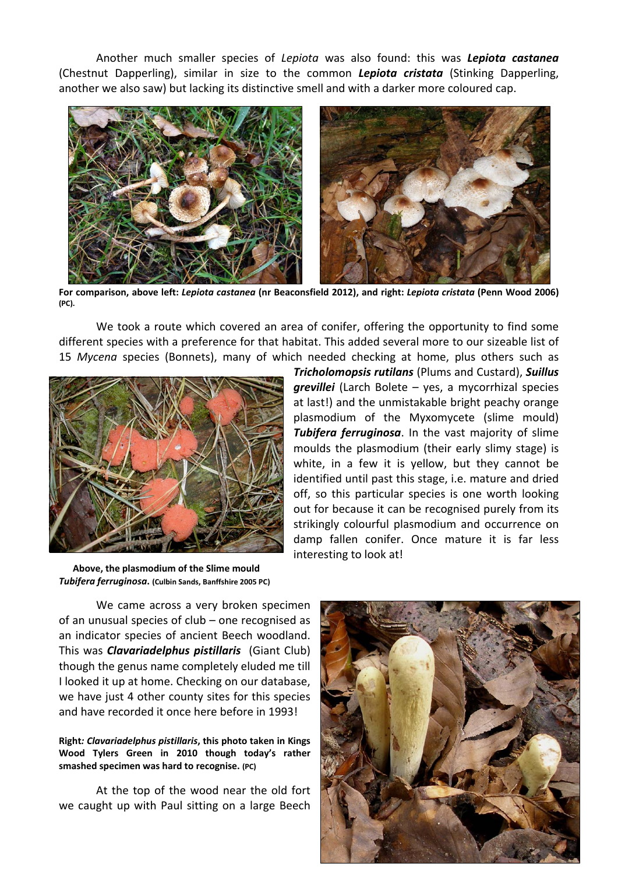Another much smaller species of *Lepiota* was also found: this was *Lepiota castanea* (Chestnut Dapperling), similar in size to the common *Lepiota cristata* (Stinking Dapperling, another we also saw) but lacking its distinctive smell and with a darker more coloured cap.



**For comparison, above left:** *Lepiota castanea* **(nr Beaconsfield 2012), and right:** *Lepiota cristata* **(Penn Wood 2006) (PC).** 

We took a route which covered an area of conifer, offering the opportunity to find some different species with a preference for that habitat. This added several more to our sizeable list of 15 *Mycena* species (Bonnets), many of which needed checking at home, plus others such as



*Tricholomopsis rutilans* (Plums and Custard), *Suillus grevillei* (Larch Bolete – yes, a mycorrhizal species at last!) and the unmistakable bright peachy orange plasmodium of the Myxomycete (slime mould) *Tubifera ferruginosa*. In the vast majority of slime moulds the plasmodium (their early slimy stage) is white, in a few it is yellow, but they cannot be identified until past this stage, i.e. mature and dried off, so this particular species is one worth looking out for because it can be recognised purely from its strikingly colourful plasmodium and occurrence on damp fallen conifer. Once mature it is far less interesting to look at!

 **Above, the plasmodium of the Slime mould**  *Tubifera ferruginosa***. (Culbin Sands, Banffshire 2005 PC)** 

We came across a very broken specimen of an unusual species of club – one recognised as an indicator species of ancient Beech woodland. This was *Clavariadelphus pistillaris* (Giant Club) though the genus name completely eluded me till I looked it up at home. Checking on our database, we have just 4 other county sites for this species and have recorded it once here before in 1993!

## **Right***: Clavariadelphus pistillaris***, this photo taken in Kings Wood Tylers Green in 2010 though today's rather smashed specimen was hard to recognise. (PC)**

At the top of the wood near the old fort we caught up with Paul sitting on a large Beech